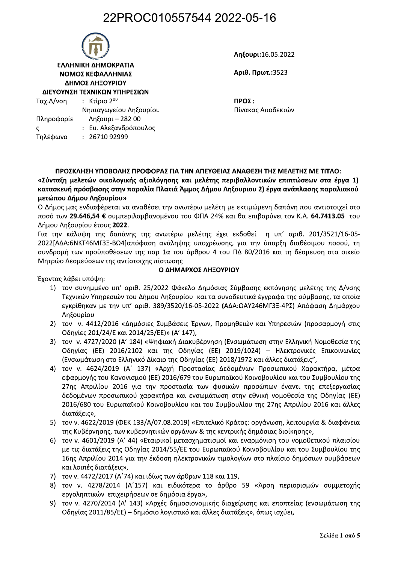### 22PROC010557544 2022-05-16



Ληξουρι:16.05.2022

Αριθ. Πρωτ.: 3523

 $TPO\Sigma$ : Πίνακας Αποδεκτών

ΠΡΟΣΚΛΗΣΗ ΥΠΟΒΟΛΗΣ ΠΡΟΦΟΡΑΣ ΓΙΑ ΤΗΝ ΑΠΕΥΘΕΙΑΣ ΑΝΑΘΕΣΗ ΤΗΣ ΜΕΛΕΤΗΣ ΜΕ ΤΙΤΛΟ:

«Σύνταξη μελετών οικολογικής αξιολόγησης και μελέτης περιβαλλοντικών επιπτώσεων στα έργα 1) κατασκευή πρόσβασης στην παραλία Πλατιά Άμμος Δήμου Ληξουριου 2) έργα ανάπλασης παραλιακού μετώπου Δήμου Ληξουρίου»

Ο Δήμος μας ενδιαφέρεται να αναθέσει την ανωτέρω μελέτη με εκτιμώμενη δαπάνη που αντιστοιχεί στο ποσό των 29.646,54 € συμπεριλαμβανομένου του ΦΠΑ 24% και θα επιβαρύνει τον Κ.Α. 64.7413.05 του Δήμου Ληξουρίου έτους 2022.

Για την κάλυψη της δαπάνης της ανωτέρω μελέτης έχει εκδοθεί η υπ' αριθ. 201/3521/16-05-2022 [ΑΔΑ: 6ΝΚΤ46ΜΓ3Ξ-ΒΩ4 απόφαση ανάληψης υποχρέωσης, για την ύπαρξη διαθέσιμου ποσού, τη συνδρομή των προϋποθέσεων της παρ 1α του άρθρου 4 του ΠΔ 80/2016 και τη δέσμευση στα οικείο Μητρώο Δεσμεύσεων της αντίστοιχης πίστωσης

#### Ο ΔΗΜΑΡΧΟΣ ΛΗΞΟΥΡΙΟΥ

Έχοντας λάβει υπόψη:

- 1) τον συνημμένο υπ' αριθ. 25/2022 Φάκελο Δημόσιας Σύμβασης εκπόνησης μελέτης της Δ/νσης Τεχνικών Υπηρεσιών του Δήμου Ληξουρίου και τα συνοδευτικά έγγραφα της σύμβασης, τα οποία εγκρίθηκαν με την υπ' αριθ. 389/3520/16-05-2022 (ΑΔΑ:ΩΑΥ246ΜΓ3Ξ-4ΡΣ) Απόφαση Δημάρχου Ληξουρίου
- 2) τον ν. 4412/2016 «Δημόσιες Συμβάσεις Έργων, Προμηθειών και Υπηρεσιών (προσαρμογή στις Οδηγίες 201/24/Ε και 2014/25/ΕΕ)» (Α' 147),
- 3) τον ν. 4727/2020 (Α' 184) «Ψηφιακή Διακυβέρνηση (Ενσωμάτωση στην Ελληνική Νομοθεσία της Οδηγίας (ΕΕ) 2016/2102 και της Οδηγίας (ΕΕ) 2019/1024) - Ηλεκτρονικές Επικοινωνίες (Ενσωμάτωση στο Ελληνικό Δίκαιο της Οδηγίας (ΕΕ) 2018/1972 και άλλες διατάξεις",
- 4) τον ν. 4624/2019 (Α' 137) «Αρχή Προστασίας Δεδομένων Προσωπικού Χαρακτήρα, μέτρα εφαρμογής του Κανονισμού (ΕΕ) 2016/679 του Ευρωπαϊκού Κοινοβουλίου και του Συμβουλίου της 27ης Απριλίου 2016 για την προστασία των φυσικών προσώπων έναντι της επεξεργασίας δεδομένων προσωπικού χαρακτήρα και ενσωμάτωση στην εθνική νομοθεσία της Οδηγίας (ΕΕ) 2016/680 του Ευρωπαϊκού Κοινοβουλίου και του Συμβουλίου της 27ης Απριλίου 2016 και άλλες διατάξεις»,
- 5) τον ν. 4622/2019 (ΦΕΚ 133/Α/07.08.2019) «Επιτελικό Κράτος: οργάνωση, λειτουργία & διαφάνεια της Κυβέρνησης, των κυβερνητικών οργάνων & της κεντρικής δημόσιας διοίκησης»,
- 6) τον ν. 4601/2019 (Α' 44) «Εταιρικοί μετασχηματισμοί και εναρμόνιση του νομοθετικού πλαισίου με τις διατάξεις της Οδηγίας 2014/55/ΕΕ του Ευρωπαϊκού Κοινοβουλίου και του Συμβουλίου της 16ης Απριλίου 2014 για την έκδοση ηλεκτρονικών τιμολογίων στο πλαίσιο δημόσιων συμβάσεων και λοιπές διατάξεις»,
- 7) τον ν. 4472/2017 (Α'74) και ιδίως των άρθρων 118 και 119,
- 8) τον ν. 4278/2014 (Α'157) και ειδικότερα το άρθρο 59 «Άρση περιορισμών συμμετοχής εργοληπτικών επιχειρήσεων σε δημόσια έργα»,
- 9) τον ν. 4270/2014 (Α' 143) «Αρχές δημοσιονομικής διαχείρισης και εποπτείας (ενσωμάτωση της Οδηγίας 2011/85/ΕΕ) – δημόσιο λογιστικό και άλλες διατάξεις», όπως ισχύει,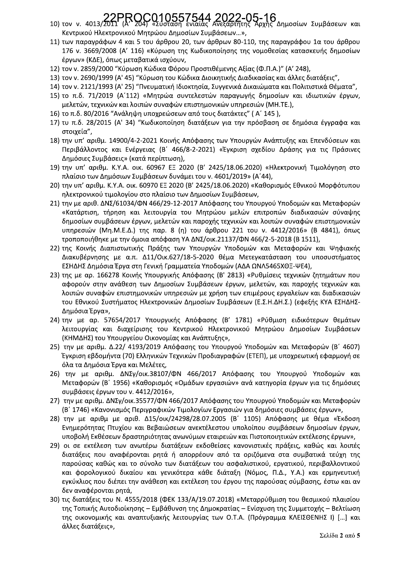# 10) τον ν. 4013/2011 (Α' 204) «Σύσταση ενιαίας Ανεξάρτητης Αρχής Δημοσίων Συμβάσεων και

- Κεντρικού Ηλεκτρονικού Μητρώου Δημοσίων Συμβάσεων...»,
- 11) των παραγράφων 4 και 5 του άρθρου 20, των άρθρων 80-110, της παραγράφου 1α του άρθρου 176 ν. 3669/2008 (Α' 116) «Κύρωση της Κωδικοποίησης της νομοθεσίας κατασκευής δημοσίων έργων» (ΚΔΕ), όπως μεταβατικά ισχύουν,
- 12) τον ν. 2859/2000 "Κύρωση Κώδικα Φόρου Προστιθέμενης Αξίας (Φ.Π.Α.)" (Α' 248),
- 13) τον ν. 2690/1999 (Α' 45) "Κύρωση του Κώδικα Διοικητικής Διαδικασίας και άλλες διατάξεις",
- 14) τον ν. 2121/1993 (Α' 25) "Πνευματική Ιδιοκτησία, Συγγενικά Δικαιώματα και Πολιτιστικά Θέματα",
- 15) το π.δ. 71/2019 (Α'112) «Μητρώα συντελεστών παραγωγής δημοσίων και ιδιωτικών έργων, μελετών, τεχνικών και λοιπών συναφών επιστημονικών υπηρεσιών (ΜΗ.ΤΕ.),
- 16) το π.δ. 80/2016 "Ανάληψη υποχρεώσεων από τους διατάκτες" (Α' 145),
- 17) τυ π.δ. 28/2015 (Α' 34) "Κωδικοποίηση διατάξεων για την πρόσβαση σε δημόσια έγγραφα και στοιχεία",
- 18) την υπ' αριθμ. 14900/4-2-2021 Κοινής Απόφασης των Υπουργών Ανάπτυξης και Επενδύσεων και Περιβάλλοντος και Ενέργειας (Β' 466/8-2-2021) «Έγκριση σχεδίου Δράσης για τις Πράσινες Δημόσιες Συμβάσεις» (κατά περίπτωση),
- 19) την υπ' αριθμ. Κ.Υ.Α. οικ. 60967 ΕΞ 2020 (Β' 2425/18.06.2020) «Ηλεκτρονική Τιμολόγηση στο πλαίσιο των Δημόσιων Συμβάσεων δυνάμει του ν. 4601/2019» (Α'44),
- 20) την υπ' αριθμ. Κ.Υ.Α. οικ. 60970 ΕΞ 2020 (Β' 2425/18.06.2020) «Καθορισμός Εθνικού Μορφότυπου ηλεκτρονικού τιμολογίου στο πλαίσιο των Δημοσίων Συμβάσεων,
- 21) την με αριθ. ΔΝΣ/61034/ΦΝ 466/29-12-2017 Απόφασης του Υπουργού Υποδομών και Μεταφορών «Κατάρτιση, τήρηση και λειτουργία του Μητρώου μελών επιτροπών διαδικασιών σύναψης δημοσίων συμβάσεων έργων, μελετών και παροχής τεχνικών και λοιπών συναφών επιστημονικών υπηρεσιών (Μη.Μ.Ε.Δ.) της παρ. 8 (η) του άρθρου 221 του ν. 4412/2016» (Β 4841), όπως τροποποιήθηκε με την όμοια απόφαση ΥΑ ΔΝΣ/οικ.21137/ΦΝ 466/2-5-2018 (Β 1511),
- 22) της Κοινής Διαπιστωτικής Πράξης των Υπουργών Υποδομών και Μεταφορών και Ψηφιακής Διακυβέρνησης με α.π. Δ11/Οικ.627/18-5-2020 θέμα Μετεγκατάσταση του υποσυστήματος ΕΣΗΔΗΣ Δημόσια Έργα στη Γενική Γραμματεία Υποδομών (ΑΔΑ ΩΝΛ5465ΧΘΞ-ΨΕ4),
- 23) της με αρ. 166278 Κοινής Υπουργικής Απόφασης (Β' 2813) «Ρυθμίσεις τεχνικών ζητημάτων που αφορούν στην ανάθεση των Δημοσίων Συμβάσεων έργων, μελετών, και παροχής τεχνικών και λοιπών συναφών επιστημονικών υπηρεσιών με χρήση των επιμέρους εργαλείων και διαδικασιών του Εθνικού Συστήματος Ηλεκτρονικών Δημοσίων Συμβάσεων (Ε.Σ.Η.ΔΗ.Σ.) (εφεξής ΚΥΑ ΕΣΗΔΗΣ-Δημόσια Έργα»,
- 24) την με αρ. 57654/2017 Υπουργικής Απόφασης (Β' 1781) «Ρύθμιση ειδικότερων θεμάτων λειτουργίας και διαχείρισης του Κεντρικού Ηλεκτρονικού Μητρώου Δημοσίων Συμβάσεων (ΚΗΜΔΗΣ) του Υπουργείου Οικονομίας και Ανάπτυξης»,
- 25) την με αριθμ. Δ.22/ 4193/2019 Απόφασης του Υπουργού Υποδομών και Μεταφορών (Β' 4607) Έγκριση εβδομήντα (70) Ελληνικών Τεχνικών Προδιαγραφών (ΕΤΕΠ), με υποχρεωτική εφαρμογή σε όλα τα Δημόσια Έργα και Μελέτες,
- 26) την με αριθμ. ΔΝΣγ/οικ.38107/ΦΝ 466/2017 Απόφασης του Υπουργού Υποδομών και Μεταφορών (Β΄ 1956) «Καθορισμός «Ομάδων εργασιών» ανά κατηγορία έργων για τις δημόσιες συμβάσεις έργων του ν. 4412/2016»,
- 27) την με αριθμ. ΔΝΣγ/οικ.35577/ΦΝ 466/2017 Απόφασης του Υπουργού Υποδομών και Μεταφορών (Β' 1746) «Κανονισμός Περιγραφικών Τιμολογίων Εργασιών για δημόσιες συμβάσεις έργων»,
- 28) την με αριθμ με αριθ. Δ15/οικ/24298/28.07.2005 (Β' 1105) Απόφασης με θέμα «Έκδοση Ενημερότητας Πτυχίου και Βεβαιώσεων ανεκτέλεστου υπολοίπου συμβάσεων δημοσίων έργων, υποβολή Εκθέσεων δραστηριότητας ανωνύμων εταιρειών και Πιστοποιητικών εκτέλεσης έργων»,
- 29) οι σε εκτέλεση των ανωτέρω διατάξεων εκδοθείσες κανονιστικές πράξεις, καθώς και λοιπές διατάξεις που αναφέρονται ρητά ή απορρέουν από τα οριζόμενα στα συμβατικά τεύχη της παρούσας καθώς και το σύνολο των διατάξεων του ασφαλιστικού, εργατικού, περιβαλλοντικού και φορολογικού δικαίου και γενικότερα κάθε διάταξη (Νόμος, Π.Δ., Υ.Α.) και ερμηνευτική εγκύκλιος που διέπει την ανάθεση και εκτέλεση του έργου της παρούσας σύμβασης, έστω και αν δεν αναφέρονται ρητά,
- 30) τις διατάξεις του Ν. 4555/2018 (ΦΕΚ 133/Α/19.07.2018) «Μεταρρύθμιση του θεσμικού πλαισίου της Τοπικής Αυτοδιοίκησης – Εμβάθυνση της Δημοκρατίας – Ενίσχυση της Συμμετοχής – Βελτίωση της οικονομικής και αναπτυξιακής λειτουργίας των Ο.Τ.Α. (Πρόγραμμα ΚΛΕΙΣΘΕΝΗΣ Ι) [...] και άλλες διατάξεις»,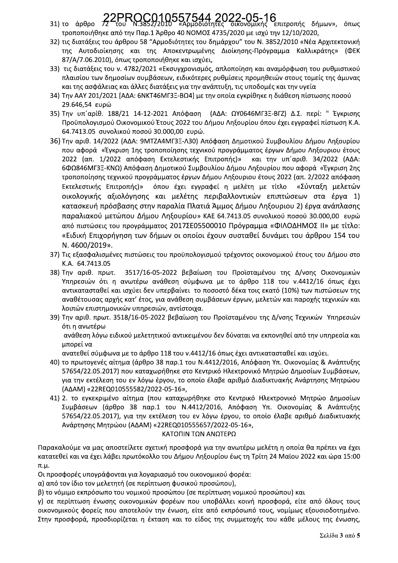# 22PROC010557544 2022-05-16<br>72 του Ν.3852/2010 «Αρμοδιότητες οικονομικής επιτροπής δήμων», όπως

- 31) το άρθρο τροποποιήθηκε από την Παρ.1 Άρθρο 40 ΝΟΜΟΣ 4735/2020 με ισχύ την 12/10/2020,
- 32) τις διατάξεις του άρθρου 58 "Αρμοδιότητες του δημάρχου" του Ν. 3852/2010 «Νέα Αρχιτεκτονική της Αυτοδιοίκησης και της Αποκεντρωμένης Διοίκησης-Πρόγραμμα Καλλικράτης» (ΦΕΚ 87/Α/7.06.2010), όπως τροποποιήθηκε και ισχύει,
- 33) τις διατάξεις του ν. 4782/2021 «Εκσυγχρονισμός, απλοποίηση και αναμόρφωση του ρυθμιστικού πλαισίου των δημοσίων συμβάσεων, ειδικότερες ρυθμίσεις προμηθειών στους τομείς της άμυνας και της ασφάλειας και άλλες διατάξεις για την ανάπτυξη, τις υποδομές και την υγεία
- 34) Την ΑΑΥ 201/2021 [ΑΔΑ: 6ΝΚΤ46ΜΓ3Ξ-ΒΩ4] με την οποία εγκρίθηκε η διάθεση πίστωσης ποσού 29.646,54 ευρώ
- 35) Την υπ'αρίθ. 188/21 14-12-2021 Απόφαση (ΑΔΑ: ΩΥ0646ΜΓ3Ξ-ΒΓΖ) Δ.Σ. περί: "Έγκρισης Προϋπολογισμού Οικονομικού Έτους 2022 του Δήμου Ληξουρίου όπου έχει εγγραφεί πίστωση Κ.Α. 64.7413.05 συνολικού ποσού 30.000,00 ευρώ.
- 36) Την αριθ. 14/2022 (ΑΔΑ: 9ΜΤΖΑ4ΜΓ3Ξ-Λ30) Απόφαση Δημοτικού Συμβουλίου Δήμου Ληξουρίου που αφορά «Έγκριση 1ης τροποποίησης τεχνικού προγράμματος έργων Δήμου Ληξουριου έτους 2022 (απ. 1/2022 απόφαση Εκτελεστικής Επιτροπής)» και την υπ'αριθ. 34/2022 (ΑΔΑ: 6ΦΩ846ΜΓ3Ξ-ΚΝΩ) Απόφαση Δημοτικού Συμβουλίου Δήμου Ληξουρίου που αφορά «Έγκριση 2ης τροποποίησης τεχνικού προγράμματος έργων Δήμου Ληξουριου έτους 2022 (απ. 2/2022 απόφαση Εκτελεστικής Επιτροπής)» όπου έχει εγγραφεί η μελέτη με τίτλο «Σύνταξη μελετών οικολογικής αξιολόγησης και μελέτης περιβαλλοντικών επιπτώσεων στα έργα 1) κατασκευή πρόσβασης στην παραλία Πλατιά Άμμος Δήμου Ληξουριου 2) έργα ανάπλασης παραλιακού μετώπου Δήμου Ληξουρίου» ΚΑΕ 64.7413.05 συνολικού ποσού 30.000,00 ευρώ από πιστώσεις του προγράμματος 2017ΣΕ05500010 Πρόγραμμα «ΦΙΛΟΔΗΜΟΣ ΙΙ» με τίτλο: «Ειδική Επιχορήγηση των δήμων οι οποίοι έχουν συσταθεί δυνάμει του άρθρου 154 του N. 4600/2019».
- 37) Τις εξασφαλισμένες πιστώσεις του προϋπολογισμού τρέχοντος οικονομικού έτους του Δήμου στο K.A. 64.7413.05
- 3517/16-05-2022 βεβαίωση του Προϊσταμένου της Δ/νσης Οικονομικών 38) Την αριθ. πρωτ. Υπηρεσιών ότι η ανωτέρω ανάθεση σύμφωνα με το άρθρο 118 του ν.4412/16 όπως έχει αντικατασταθεί και ισχύει δεν υπερβαίνει το ποσοστό δέκα τοις εκατό (10%) των πιστώσεων της αναθέτουσας αρχής κατ' έτος, για ανάθεση συμβάσεων έργων, μελετών και παροχής τεχνικών και λοιπών επιστημονικών υπηρεσιών, αντίστοιχα.
- 39) Την αριθ. πρωτ. 3518/16-05-2022 βεβαίωση του Προϊσταμένου της Δ/νσης Τεχνικών Υπηρεσιών ότι η ανωτέρω ανάθεση λόγω ειδικού μελετητικού αντικειμένου δεν δύναται να εκπονηθεί από την υπηρεσία και

μπορεί να ανατεθεί σύμφωνα με το άρθρο 118 του ν.4412/16 όπως έχει αντικατασταθεί και ισχύει.

- 40) το πρωτογενές αίτημα (άρθρο 38 παρ.1 του Ν.4412/2016, Απόφαση Υπ. Οικονομίας & Ανάπτυξης 57654/22.05.2017) που καταχωρήθηκε στο Κεντρικό Ηλεκτρονικό Μητρώο Δημοσίων Συμβάσεων, για την εκτέλεση του εν λόγω έργου, το οποίο έλαβε αριθμό Διαδικτυακής Ανάρτησης Μητρώου (ΑΔΑΜ) «22REQ010555582/2022-05-16»,
- 41) 2. το εγκεκριμένο αίτημα (που καταχωρήθηκε στο Κεντρικό Ηλεκτρονικό Μητρώο Δημοσίων Συμβάσεων (άρθρο 38 παρ.1 του Ν.4412/2016, Απόφαση Υπ. Οικονομίας & Ανάπτυξης 57654/22.05.2017), για την εκτέλεση του εν λόγω έργου, το οποίο έλαβε αριθμό Διαδικτυακής Ανάρτησης Μητρώου (ΑΔΑΜ) «22REQ010555657/2022-05-16»,

### ΚΑΤΟΠΙΝ ΤΩΝ ΑΝΩΤΕΡΩ

Παρακαλούμε να μας αποστείλετε σχετική προσφορά για την ανωτέρω μελέτη η οποία θα πρέπει να έχει κατατεθεί και να έχει λάβει πρωτόκολλο του Δήμου Ληξουρίου έως τη Τρίτη 24 Μαϊου 2022 και ώρα 15:00 π.μ.

Οι προσφορές υπογράφονται για λογαριασμό του οικονομικού φορέα:

α) από τον ίδιο τον μελετητή (σε περίπτωση φυσικού προσώπου),

β) το νόμιμο εκπρόσωπο του νομικού προσώπου (σε περίπτωση νομικού προσώπου) και

γ) σε περίπτωση ένωσης οικονομικών φορέων που υποβάλλει κοινή προσφορά, είτε από όλους τους οικονομικούς φορείς που αποτελούν την ένωση, είτε από εκπρόσωπό τους, νομίμως εξουσιοδοτημένο. Στην προσφορά, προσδιορίζεται η έκταση και το είδος της συμμετοχής του κάθε μέλους της ένωσης,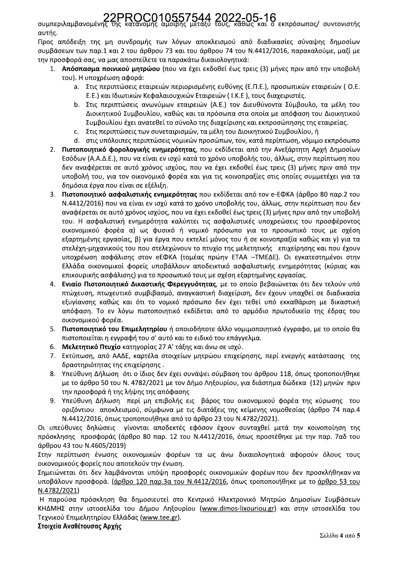συμπεριλαμβανομένης της κατανομής αμοιβής μετάξυ τους, καθώς και ο εκπρόσωπος/ συντονιστής αυτής.

Προς απόδειξη της μη συνδρομής των λόγων αποκλεισμού από διαδικασίες σύναψης δημοσίων συμβάσεων των παρ.1 και 2 του άρθρου 73 και του άρθρου 74 του Ν.4412/2016, παρακαλούμε, μαζί με την προσφορά σας, να μας αποστείλετε τα παρακάτω δικαιολογητικά:

- 1. Απόσπασμα ποινικού μητρώου (που να έχει εκδοθεί έως τρεις (3) μήνες πριν από την υποβολή του). Η υποχρέωση αφορά:
	- a. Στις περιπτώσεις εταιρειών περιορισμένης ευθύνης (Ε.Π.Ε.), προσωπικών εταιρειών (O.E. Ε.Ε.) και Ιδιωτικών Κεφαλαιουχικών Εταιρειών (Ι.Κ.Ε), τους διαχειριστές.
	- b. Στις περιπτώσεις ανωνύμων εταιρειών (A.E.) τον Διευθύνοντα Σύμβουλο, τα μέλη του Διοικητικού Συμβουλίου, καθώς και τα πρόσωπα στα οποία με απόφαση του Διοικητικού Συμβουλίου έχει ανατεθεί το σύνολο της διαχείρισης και εκπροσώπησης της εταιρείας.
	- ς. Στις περιπτώσεις των συνεταιρισμών, τα μέλη του Διοικητικού Συμβουλίου, ή
	- d. στις υπόλοιπες περιπτώσεις νομικών προσώπων, τον, κατά περίπτωση, νόμιμο εκπρόσωπο
- 2. Πιστοποιητικό φορολογικής ενημερότητας, που εκδίδεται από την Ανεξάρτητη Αρχή Δημοσίων Εσόδων (Α.Α.Δ.Ε.), που να είναι εν ισχύ κατά το χρόνο υποβολής του, άλλως, στην περίπτωση που δεν αναφέρεται σε αυτό χρόνος ισχύος, που να έχει εκδοθεί έως τρεις (3) μήνες πριν από την υποβολή του, για τον οικονομικό φορέα και για τις κοινοπραξίες στις οποίες συμμετέχει για τα δημόσια έργα που είναι σε εξέλιξη.
- $3.$ Πιστοποιητικό ασφαλιστικής ενημερότητας που εκδίδεται από τον e-ΕΦΚΑ (άρθρο 80 παρ.2 του Ν.4412/2016) που να είναι εν ισχύ κατά το χρόνο υποβολής του, άλλως, στην περίπτωση που δεν αναφέρεται σε αυτό χρόνος ισχύος, που να έχει εκδοθεί έως τρεις (3) μήνες πριν από την υποβολή του. Η ασφαλιστική ενημερότητα καλύπτει τις ασφαλιστικές υποχρεώσεις του προσφέροντος οικονομικού φορέα α) ως φυσικό ή νομικό πρόσωπο για το προσωπικό τους με σχέση εξαρτημένης εργασίας, β) για έργα που εκτελεί μόνος του ή σε κοινοπραξία καθώς και γ) για τα στελέχη-μηχανικούς του που στελεχώνουν το πτυχίο της μελετητικής επιχείρησης και που έχουν υποχρέωση ασφάλισης στον eEΦΚΑ (τομέας πρώην ΕΤΑΑ -ΤΜΕΔΕ). Οι εγκατεστημένοι στην Ελλάδα οικονομικοί φορείς υποβάλλουν αποδεικτικό ασφαλιστικής ενημερότητας (κύριας και επικουρικής ασφάλισης) για το προσωπικό τους με σχέση εξαρτημένης εργασίας.
- 4. Ενιαίο Πιστοποιητικό Δικαστικής Φερεγγυότητας, με το οποίο βεβαιώνεται ότι δεν τελούν υπό πτώχευση, πτωχευτικό συμβιβασμό, αναγκαστική διαχείριση, δεν έχουν υπαχθεί σε διαδικασία εξυγίανσης καθώς και ότι το νομικό πρόσωπο δεν έχει τεθεί υπό εκκαθάριση με δικαστική απόφαση. Το εν λόγω πιστοποιητικό εκδίδεται από το αρμόδιο πρωτοδικείο της έδρας του οικονομικού φορέα.
- 5. Πιστοποιητικό του Επιμελητηρίου ή οποιοδήποτε άλλο νομιμοποιητικό έγγραφο, με το οποίο θα πιστοποιείται η εγγραφή του σ' αυτό και το ειδικό του επάγγελμα.
- 6. Μελετητικό Πτυχίο κατηγορίας 27 Α' τάξης και άνω σε ισχύ.
- 7. Εκτύπωση, από ΑΑΔΕ, καρτέλα στοιχείων μητρώου επιχείρησης, περί ενεργής κατάστασης της δραστηριότητας της επιχείρησης.
- Υπεύθυνη Δήλωση ότι ο ίδιος δεν έχει συνάψει σύμβαση του άρθρου 118, όπως τροποποιήθηκε 8. με το άρθρο 50 του Ν. 4782/2021 με τον Δήμο Ληξουρίου, για διάστημα δώδεκα (12) μηνών πριν την προσφορά ή της λήψης της απόφασης
- Υπεύθυνη Δήλωση περί μη επιβολής εις βάρος του οικονομικού φορέα της κύρωσης του 9. οριζόντιου αποκλεισμού, σύμφωνα με τις διατάξεις της κείμενης νομοθεσίας (άρθρο 74 παρ.4 Ν.4412/2016, όπως τροποποιήθηκε από το άρθρο 23 του Ν.4782/2021).

Οι υπεύθυνες δηλώσεις γίνονται αποδεκτές εφόσον έχουν συνταχθεί μετά την κοινοποίηση της πρόσκλησης προσφοράς (άρθρο 80 παρ. 12 του Ν.4412/2016, όπως προστέθηκε με την παρ. 7αδ του άρθρου 43 του Ν.4605/2019)

Στην περίπτωση ένωσης οικονομικών φορέων τα ως άνω δικαιολογητικά αφορούν όλους τους οικονομικούς φορείς που αποτελούν την ένωση.

Σημειώνεται ότι δεν λαμβάνονται υπόψη προσφορές οικονομικών φορέων που δεν προσκλήθηκαν να υποβάλουν προσφορά. (άρθρο 120 παρ.3α του Ν.4412/2016, όπως τροποποιήθηκε με το άρθρο 53 του N.4782/2021)

Η παρούσα πρόσκληση θα δημοσιευτεί στο Κεντρικό Ηλεκτρονικό Μητρώο Δημοσίων Συμβάσεων ΚΗΔΜΗΣ στην ιστοσελίδα του Δήμου Ληξουρίου (www.dimos-lixouriou.gr) και στην ιστοσελίδα του Τεχνικού Επιμελητηρίου Ελλάδας (www.tee.gr).

### Στοιχεία Αναθέτουσας Αρχής